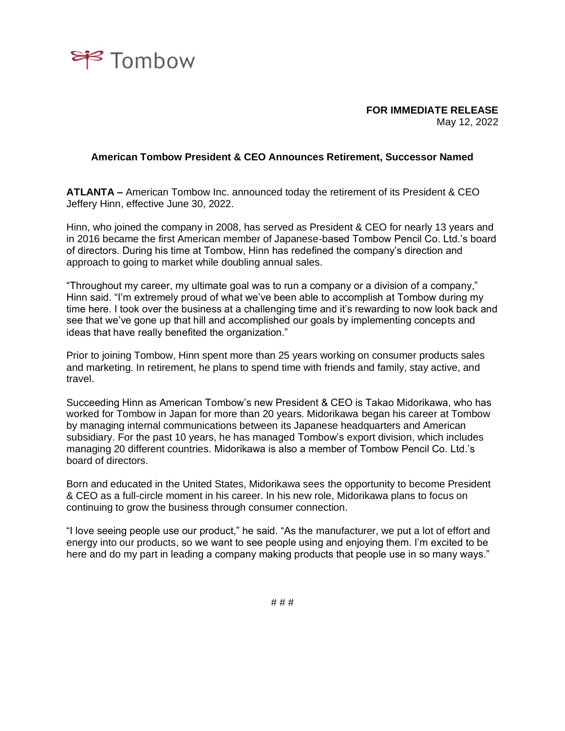

**FOR IMMEDIATE RELEASE** May 12, 2022

## **American Tombow President & CEO Announces Retirement, Successor Named**

**ATLANTA –** American Tombow Inc. announced today the retirement of its President & CEO Jeffery Hinn, effective June 30, 2022.

Hinn, who joined the company in 2008, has served as President & CEO for nearly 13 years and in 2016 became the first American member of Japanese-based Tombow Pencil Co. Ltd.'s board of directors. During his time at Tombow, Hinn has redefined the company's direction and approach to going to market while doubling annual sales.

"Throughout my career, my ultimate goal was to run a company or a division of a company," Hinn said. "I'm extremely proud of what we've been able to accomplish at Tombow during my time here. I took over the business at a challenging time and it's rewarding to now look back and see that we've gone up that hill and accomplished our goals by implementing concepts and ideas that have really benefited the organization."

Prior to joining Tombow, Hinn spent more than 25 years working on consumer products sales and marketing. In retirement, he plans to spend time with friends and family, stay active, and travel.

Succeeding Hinn as American Tombow's new President & CEO is Takao Midorikawa, who has worked for Tombow in Japan for more than 20 years. Midorikawa began his career at Tombow by managing internal communications between its Japanese headquarters and American subsidiary. For the past 10 years, he has managed Tombow's export division, which includes managing 20 different countries. Midorikawa is also a member of Tombow Pencil Co. Ltd.'s board of directors.

Born and educated in the United States, Midorikawa sees the opportunity to become President & CEO as a full-circle moment in his career. In his new role, Midorikawa plans to focus on continuing to grow the business through consumer connection.

"I love seeing people use our product," he said. "As the manufacturer, we put a lot of effort and energy into our products, so we want to see people using and enjoying them. I'm excited to be here and do my part in leading a company making products that people use in so many ways."

# # #